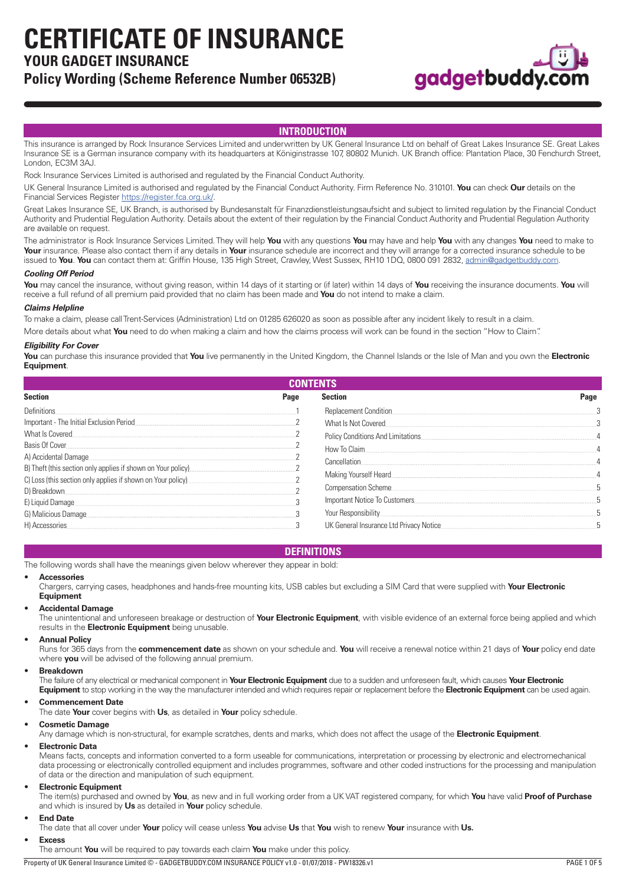**CERTIFICATE OF INSURANCE**

# **YOUR GADGET INSURANCE**

# **Policy Wording (Scheme Reference Number 06532B)**



# **INTRODUCTION**

This insurance is arranged by Rock Insurance Services Limited and underwritten by UK General Insurance Ltd on behalf of Great Lakes Insurance SE. Great Lakes Insurance SE is a German insurance company with its headquarters at Königinstrasse 107, 80802 Munich. UK Branch office: Plantation Place, 30 Fenchurch Street, London, EC3M 3AJ.

Rock Insurance Services Limited is authorised and regulated by the Financial Conduct Authority.

UK General Insurance Limited is authorised and regulated by the Financial Conduct Authority. Firm Reference No. 310101. **You** can check **Our** details on the Financial Services Register [https://register.fca.org.uk/.](https://register.fca.org.uk/)

Great Lakes Insurance SE, UK Branch, is authorised by Bundesanstalt für Finanzdienstleistungsaufsicht and subject to limited regulation by the Financial Conduct Authority and Prudential Regulation Authority. Details about the extent of their regulation by the Financial Conduct Authority and Prudential Regulation Authority are available on request.

The administrator is Rock Insurance Services Limited. They will help **You** with any questions **You** may have and help **You** with any changes **You** need to make to **Your** insurance. Please also contact them if any details in **Your** insurance schedule are incorrect and they will arrange for a corrected insurance schedule to be issued to **You**. **You** can contact them at: Griffin House, 135 High Street, Crawley, West Sussex, RH10 1DQ, 0800 091 2832, [admin@gadgetbuddy.com](mailto:admin@gadgetbuddy.com).

# *Cooling Off Period*

**You** may cancel the insurance, without giving reason, within 14 days of it starting or (if later) within 14 days of **You** receiving the insurance documents. **You** will receive a full refund of all premium paid provided that no claim has been made and **You** do not intend to make a claim.

# *Claims Helpline*

To make a claim, please call Trent-Services (Administration) Ltd on 01285 626020 as soon as possible after any incident likely to result in a claim.

More details about what **You** need to do when making a claim and how the claims process will work can be found in the section "How to Claim".

### *Eligibility For Cover*

**You** can purchase this insurance provided that **You** live permanently in the United Kingdom, the Channel Islands or the Isle of Man and you own the **Electronic Equipment**.

| <b>CONTENTS</b>                                                                      |      |                                          |      |
|--------------------------------------------------------------------------------------|------|------------------------------------------|------|
| <b>Section</b>                                                                       | Page | <b>Section</b>                           | Page |
| Definitions                                                                          |      | Replacement Condition.                   |      |
| Important - The Initial Exclusion Period                                             |      | What Is Not Covered                      |      |
| What Is Covered                                                                      |      | Policy Conditions And Limitations        | 4    |
| Basis Of Cover                                                                       |      | How To Claim                             | 4    |
| A) Accidental Damage<br>B) Theft (this section only applies if shown on Your policy) |      | Cancellation                             |      |
| C) Loss (this section only applies if shown on Your policy)                          |      | Making Yourself Heard                    |      |
| D) Breakdown.                                                                        |      | <b>Compensation Scheme.</b>              |      |
| E) Liquid Damage                                                                     |      | Important Notice To Customers            |      |
| G) Malicious Damage                                                                  |      | Your Responsibility                      |      |
| H) Accessories.                                                                      |      | UK General Insurance Ltd Privacy Notice. |      |

# **DEFINITIONS**

The following words shall have the meanings given below wherever they appear in bold:

#### • **Accessories**

Chargers, carrying cases, headphones and hands-free mounting kits, USB cables but excluding a SIM Card that were supplied with **Your Electronic Equipment**

# • **Accidental Damage**

The unintentional and unforeseen breakage or destruction of **Your Electronic Equipment**, with visible evidence of an external force being applied and which results in the **Electronic Equipment** being unusable.

#### • **Annual Policy**

Runs for 365 days from the **commencement date** as shown on your schedule and. **You** will receive a renewal notice within 21 days of **Your** policy end date where **you** will be advised of the following annual premium.

#### • **Breakdown**

The failure of any electrical or mechanical component in **Your Electronic Equipment** due to a sudden and unforeseen fault, which causes **Your Electronic Equipment** to stop working in the way the manufacturer intended and which requires repair or replacement before the **Electronic Equipment** can be used again.

# • **Commencement Date**

The date **Your** cover begins with **Us**, as detailed in **Your** policy schedule.

# • **Cosmetic Damage**

Any damage which is non-structural, for example scratches, dents and marks, which does not affect the usage of the **Electronic Equipment**.

#### • **Electronic Data**

Means facts, concepts and information converted to a form useable for communications, interpretation or processing by electronic and electromechanical data processing or electronically controlled equipment and includes programmes, software and other coded instructions for the processing and manipulation of data or the direction and manipulation of such equipment.

# • **Electronic Equipment**

The item(s) purchased and owned by **You**, as new and in full working order from a UK VAT registered company, for which **You** have valid **Proof of Purchase**  and which is insured by **Us** as detailed in **Your** policy schedule.

# • **End Date**

The date that all cover under **Your** policy will cease unless **You** advise **Us** that **You** wish to renew **Your** insurance with **Us.**

#### • **Excess**

The amount **You** will be required to pay towards each claim **You** make under this policy.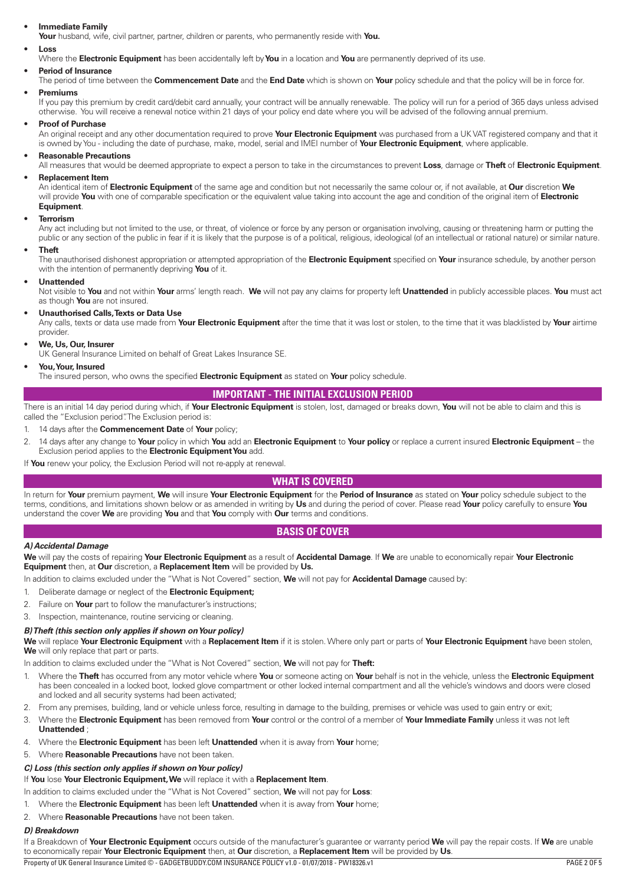# <span id="page-1-0"></span>• **Immediate Family**

**Your** husband, wife, civil partner, partner, children or parents, who permanently reside with **You.**

#### • **Loss**

Where the **Electronic Equipment** has been accidentally left by **You** in a location and **You** are permanently deprived of its use.

## • **Period of Insurance**

The period of time between the **Commencement Date** and the **End Date** which is shown on **Your** policy schedule and that the policy will be in force for. • **Premiums**

If you pay this premium by credit card/debit card annually, your contract will be annually renewable. The policy will run for a period of 365 days unless advised otherwise. You will receive a renewal notice within 21 days of your policy end date where you will be advised of the following annual premium.

### • **Proof of Purchase**

An original receipt and any other documentation required to prove **Your Electronic Equipment** was purchased from a UK VAT registered company and that it is owned by You - including the date of purchase, make, model, serial and IMEI number of **Your Electronic Equipment**, where applicable.

# • **Reasonable Precautions**

All measures that would be deemed appropriate to expect a person to take in the circumstances to prevent **Loss**, damage or **Theft** of **Electronic Equipment**.

# • **Replacement Item**

An identical item of **Electronic Equipment** of the same age and condition but not necessarily the same colour or, if not available, at **Our** discretion **We** will provide **You** with one of comparable specification or the equivalent value taking into account the age and condition of the original item of **Electronic Equipment**.

#### • **Terrorism**

Any act including but not limited to the use, or threat, of violence or force by any person or organisation involving, causing or threatening harm or putting the public or any section of the public in fear if it is likely that the purpose is of a political, religious, ideological (of an intellectual or rational nature) or similar nature.

### • **Theft**

The unauthorised dishonest appropriation or attempted appropriation of the **Electronic Equipment** specified on **Your** insurance schedule, by another person with the intention of permanently depriving **You** of it.

### • **Unattended**

Not visible to **You** and not within **Your** arms' length reach. **We** will not pay any claims for property left **Unattended** in publicly accessible places. **You** must act as though **You** are not insured.

### • **Unauthorised Calls, Texts or Data Use**

Any calls, texts or data use made from **Your Electronic Equipment** after the time that it was lost or stolen, to the time that it was blacklisted by **Your** airtime provider.

# • **We, Us, Our, Insurer**

UK General Insurance Limited on behalf of Great Lakes Insurance SE.

### • **You, Your, Insured**

The insured person, who owns the specified **Electronic Equipment** as stated on **Your** policy schedule.

# **IMPORTANT - THE INITIAL EXCLUSION PERIOD**

There is an initial 14 day period during which, if **Your Electronic Equipment** is stolen, lost, damaged or breaks down, **You** will not be able to claim and this is called the "Exclusion period". The Exclusion period is:

# 1. 14 days after the **Commencement Date** of **Your** policy;

2. 14 days after any change to **Your** policy in which **You** add an **Electronic Equipment** to **Your policy** or replace a current insured **Electronic Equipment** – the Exclusion period applies to the **Electronic Equipment You** add.

If **You** renew your policy, the Exclusion Period will not re-apply at renewal.

# **WHAT IS COVERED**

In return for **Your** premium payment, **We** will insure **Your Electronic Equipment** for the **Period of Insurance** as stated on **Your** policy schedule subject to the terms, conditions, and limitations shown below or as amended in writing by **Us** and during the period of cover. Please read **Your** policy carefully to ensure **You** understand the cover **We** are providing **You** and that **You** comply with **Our** terms and conditions.

# **BASIS OF COVER**

# *A) Accidental Damage*

**We** will pay the costs of repairing **Your Electronic Equipment** as a result of **Accidental Damage**. If **We** are unable to economically repair **Your Electronic Equipment** then, at **Our** discretion, a **Replacement Item** will be provided by **Us.**

In addition to claims excluded under the "What is Not Covered" section, **We** will not pay for **Accidental Damage** caused by:

- 1. Deliberate damage or neglect of the **Electronic Equipment;**
- 2. Failure on **Your** part to follow the manufacturer's instructions;
- 3. Inspection, maintenance, routine servicing or cleaning.

# *B) Theft (this section only applies if shown on Your policy)*

**We** will replace **Your Electronic Equipment** with a **Replacement Item** if it is stolen. Where only part or parts of **Your Electronic Equipment** have been stolen, We will only replace that part or parts.

In addition to claims excluded under the "What is Not Covered" section, **We** will not pay for **Theft:**

- 1. Where the **Theft** has occurred from any motor vehicle where **You** or someone acting on **Your** behalf is not in the vehicle, unless the **Electronic Equipment** has been concealed in a locked boot, locked glove compartment or other locked internal compartment and all the vehicle's windows and doors were closed and locked and all security systems had been activated;
- 2. From any premises, building, land or vehicle unless force, resulting in damage to the building, premises or vehicle was used to gain entry or exit;
- 3. Where the **Electronic Equipment** has been removed from **Your** control or the control of a member of **Your Immediate Family** unless it was not left **Unattended** ;
- 4. Where the **Electronic Equipment** has been left **Unattended** when it is away from **Your** home;
- 5. Where **Reasonable Precautions** have not been taken.

# *C) Loss (this section only applies if shown on Your policy)*

If **You** lose **Your Electronic Equipment, We** will replace it with a **Replacement Item**.

- In addition to claims excluded under the "What is Not Covered" section, **We** will not pay for **Loss**:
- 1. Where the **Electronic Equipment** has been left **Unattended** when it is away from **Your** home;
- 2. Where **Reasonable Precautions** have not been taken.

### *D) Breakdown*

If a Breakdown of **Your Electronic Equipment** occurs outside of the manufacturer's guarantee or warranty period **We** will pay the repair costs. If **We** are unable to economically repair **Your Electronic Equipment** then, at **Our** discretion, a **Replacement Item** will be provided by **Us**.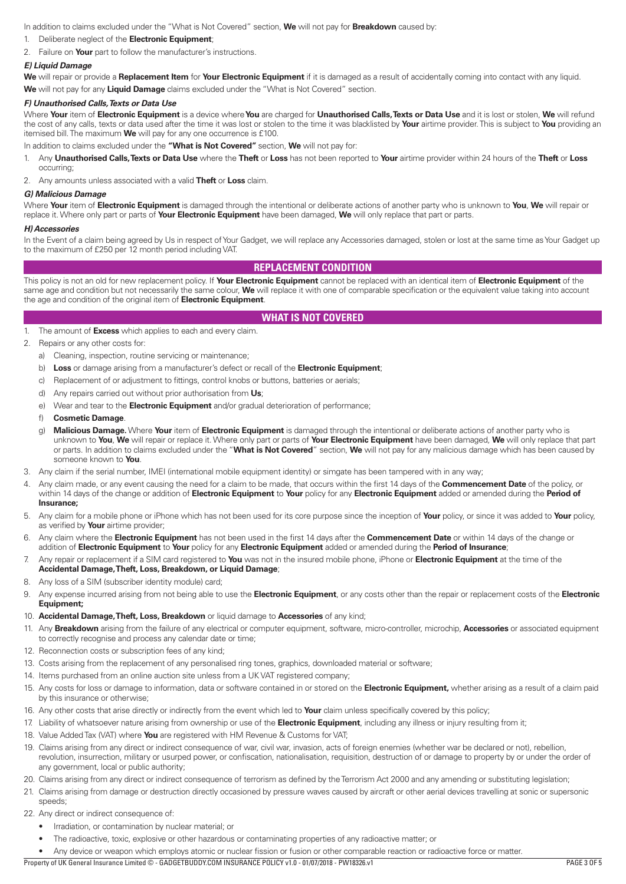<span id="page-2-0"></span>In addition to claims excluded under the "What is Not Covered" section, **We** will not pay for **Breakdown** caused by:

- 1. Deliberate neglect of the **Electronic Equipment**;
- 2. Failure on **Your** part to follow the manufacturer's instructions.

# *E) Liquid Damage*

**We** will repair or provide a **Replacement Item** for **Your Electronic Equipment** if it is damaged as a result of accidentally coming into contact with any liquid. **We** will not pay for any **Liquid Damage** claims excluded under the "What is Not Covered" section.

# *F) Unauthorised Calls, Texts or Data Use*

Where **Your** item of **Electronic Equipment** is a device where **You** are charged for **Unauthorised Calls, Texts or Data Use** and it is lost or stolen, **We** will refund the cost of any calls, texts or data used after the time it was lost or stolen to the time it was blacklisted by **Your** airtime provider. This is subject to **You** providing an itemised bill. The maximum **We** will pay for any one occurrence is £100.

In addition to claims excluded under the **"What is Not Covered"** section, **We** will not pay for:

1. Any **Unauthorised Calls, Texts or Data Use** where the **Theft** or **Loss** has not been reported to **Your** airtime provider within 24 hours of the **Theft** or **Loss** occurring;

2. Any amounts unless associated with a valid **Theft** or **Loss** claim.

### *G) Malicious Damage*

Where **Your** item of **Electronic Equipment** is damaged through the intentional or deliberate actions of another party who is unknown to **You**, **We** will repair or replace it. Where only part or parts of **Your Electronic Equipment** have been damaged, **We** will only replace that part or parts.

#### *H) Accessories*

In the Event of a claim being agreed by Us in respect of Your Gadget, we will replace any Accessories damaged, stolen or lost at the same time as Your Gadget up to the maximum of £250 per 12 month period including VAT.

# **REPLACEMENT CONDITION**

This policy is not an old for new replacement policy. If **Your Electronic Equipment** cannot be replaced with an identical item of **Electronic Equipment** of the same age and condition but not necessarily the same colour, **We** will replace it with one of comparable specification or the equivalent value taking into account the age and condition of the original item of **Electronic Equipment**.

# **WHAT IS NOT COVERED**

1. The amount of **Excess** which applies to each and every claim.

### 2. Repairs or any other costs for:

- a) Cleaning, inspection, routine servicing or maintenance;
- b) **Loss** or damage arising from a manufacturer's defect or recall of the **Electronic Equipment**;
- c) Replacement of or adjustment to fittings, control knobs or buttons, batteries or aerials;
- d) Any repairs carried out without prior authorisation from **Us**;
- e) Wear and tear to the **Electronic Equipment** and/or gradual deterioration of performance;
- f) **Cosmetic Damage**.
- g) **Malicious Damage.** Where **Your** item of **Electronic Equipment** is damaged through the intentional or deliberate actions of another party who is unknown to **You**, **We** will repair or replace it. Where only part or parts of **Your Electronic Equipment** have been damaged, **We** will only replace that part or parts. In addition to claims excluded under the "**What is Not Covered**" section, **We** will not pay for any malicious damage which has been caused by someone known to **You**.
- 3. Any claim if the serial number, IMEI (international mobile equipment identity) or simgate has been tampered with in any way;
- 4. Any claim made, or any event causing the need for a claim to be made, that occurs within the first 14 days of the **Commencement Date** of the policy, or within 14 days of the change or addition of **Electronic Equipment** to **Your** policy for any **Electronic Equipment** added or amended during the **Period of Insurance;**
- 5. Any claim for a mobile phone or iPhone which has not been used for its core purpose since the inception of **Your** policy, or since it was added to **Your** policy, as verified by **Your** airtime provider;
- 6. Any claim where the **Electronic Equipment** has not been used in the first 14 days after the **Commencement Date** or within 14 days of the change or addition of **Electronic Equipment** to **Your** policy for any **Electronic Equipment** added or amended during the **Period of Insurance**;
- 7. Any repair or replacement if a SIM card registered to **You** was not in the insured mobile phone, iPhone or **Electronic Equipment** at the time of the **Accidental Damage, Theft, Loss, Breakdown, or Liquid Damage**;
- 8. Any loss of a SIM (subscriber identity module) card;
- 9. Any expense incurred arising from not being able to use the **Electronic Equipment**, or any costs other than the repair or replacement costs of the **Electronic Equipment;**
- 10. **Accidental Damage, Theft, Loss, Breakdown** or liquid damage to **Accessories** of any kind;
- 11. Any **Breakdown** arising from the failure of any electrical or computer equipment, software, micro-controller, microchip, **Accessories** or associated equipment to correctly recognise and process any calendar date or time;
- 12. Reconnection costs or subscription fees of any kind;
- 13. Costs arising from the replacement of any personalised ring tones, graphics, downloaded material or software;
- 14. Items purchased from an online auction site unless from a UK VAT registered company;
- 15. Any costs for loss or damage to information, data or software contained in or stored on the **Electronic Equipment,** whether arising as a result of a claim paid by this insurance or otherwise;
- 16. Any other costs that arise directly or indirectly from the event which led to **Your** claim unless specifically covered by this policy;
- 17. Liability of whatsoever nature arising from ownership or use of the **Electronic Equipment**, including any illness or injury resulting from it;
- 18. Value Added Tax (VAT) where **You** are registered with HM Revenue & Customs for VAT;
- 19. Claims arising from any direct or indirect consequence of war, civil war, invasion, acts of foreign enemies (whether war be declared or not), rebellion, revolution, insurrection, military or usurped power, or confiscation, nationalisation, requisition, destruction of or damage to property by or under the order of any government, local or public authority;
- 20. Claims arising from any direct or indirect consequence of terrorism as defined by the Terrorism Act 2000 and any amending or substituting legislation;
- 21. Claims arising from damage or destruction directly occasioned by pressure waves caused by aircraft or other aerial devices travelling at sonic or supersonic speeds;
- 22. Any direct or indirect consequence of:
	- Irradiation, or contamination by nuclear material; or
	- The radioactive, toxic, explosive or other hazardous or contaminating properties of any radioactive matter; or
- Any device or weapon which employs atomic or nuclear fission or fusion or other comparable reaction or radioactive force or matter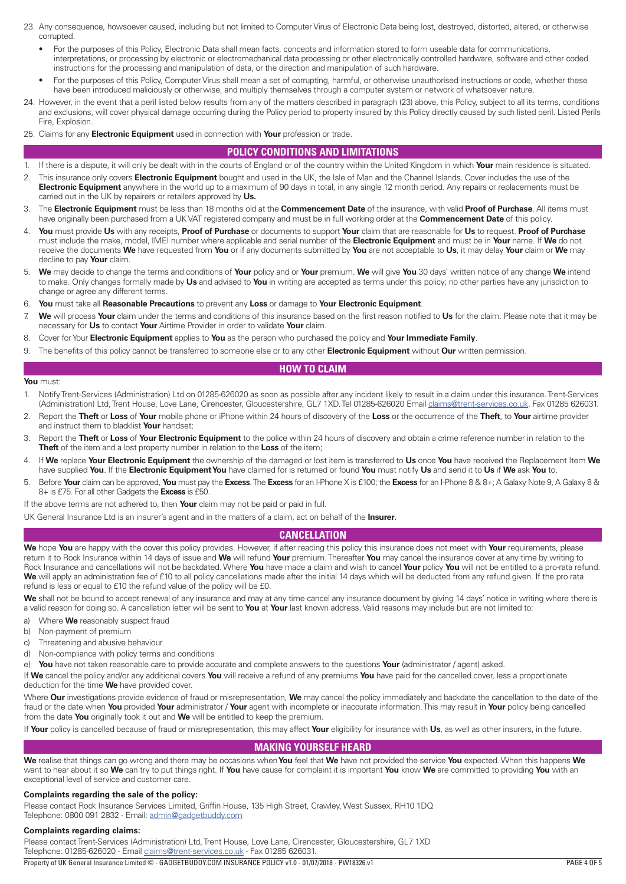- <span id="page-3-0"></span>23. Any consequence, howsoever caused, including but not limited to Computer Virus of Electronic Data being lost, destroyed, distorted, altered, or otherwise corrupted.
	- For the purposes of this Policy, Electronic Data shall mean facts, concepts and information stored to form useable data for communications, interpretations, or processing by electronic or electromechanical data processing or other electronically controlled hardware, software and other coded instructions for the processing and manipulation of data, or the direction and manipulation of such hardware.
	- For the purposes of this Policy, Computer Virus shall mean a set of corrupting, harmful, or otherwise unauthorised instructions or code, whether these have been introduced maliciously or otherwise, and multiply themselves through a computer system or network of whatsoever nature.
- 24. However, in the event that a peril listed below results from any of the matters described in paragraph (23) above, this Policy, subject to all its terms, conditions and exclusions, will cover physical damage occurring during the Policy period to property insured by this Policy directly caused by such listed peril. Listed Perils Fire, Explosion.
- 25. Claims for any **Electronic Equipment** used in connection with **Your** profession or trade.

# **POLICY CONDITIONS AND LIMITATIONS**

- 1. If there is a dispute, it will only be dealt with in the courts of England or of the country within the United Kingdom in which **Your** main residence is situated.
- 2. This insurance only covers **Electronic Equipment** bought and used in the UK, the Isle of Man and the Channel Islands. Cover includes the use of the **Electronic Equipment** anywhere in the world up to a maximum of 90 days in total, in any single 12 month period. Any repairs or replacements must be carried out in the UK by repairers or retailers approved by **Us.**
- 3. The **Electronic Equipment** must be less than 18 months old at the **Commencement Date** of the insurance, with valid **Proof of Purchase**. All items must have originally been purchased from a UK VAT registered company and must be in full working order at the **Commencement Date** of this policy.
- 4. **You** must provide **Us** with any receipts, **Proof of Purchase** or documents to support **Your** claim that are reasonable for **Us** to request. **Proof of Purchase**  must include the make, model, IMEI number where applicable and serial number of the **Electronic Equipment** and must be in **Your** name. If **We** do not receive the documents **We** have requested from **You** or if any documents submitted by **You** are not acceptable to **Us**, it may delay **Your** claim or **We** may decline to pay **Your** claim.
- 5. **We** may decide to change the terms and conditions of **Your** policy and or **Your** premium. **We** will give **You** 30 days' written notice of any change **We** intend to make. Only changes formally made by **Us** and advised to **You** in writing are accepted as terms under this policy; no other parties have any jurisdiction to change or agree any different terms.
- 6. **You** must take all **Reasonable Precautions** to prevent any **Loss** or damage to **Your Electronic Equipment**.
- 7. **We** will process **Your** claim under the terms and conditions of this insurance based on the first reason notified to **Us** for the claim. Please note that it may be necessary for **Us** to contact **Your** Airtime Provider in order to validate **Your** claim.
- 8. Cover for Your **Electronic Equipment** applies to **You** as the person who purchased the policy and **Your Immediate Family**.
- 9. The benefits of this policy cannot be transferred to someone else or to any other **Electronic Equipment** without **Our** written permission.

# **HOW TO CLAIM**

# **You** must:

- 1. Notify Trent-Services (Administration) Ltd on 01285-626020 as soon as possible after any incident likely to result in a claim under this insurance. Trent-Services (Administration) Ltd, Trent House, Love Lane, Cirencester, Gloucestershire, GL7 1XD. Tel 01285-626020 Email [claims@trent-services.co.uk](mailto:claims@trent-services.co.uk). Fax 01285 626031.
- 2. Report the **Theft** or **Loss** of **Your** mobile phone or iPhone within 24 hours of discovery of the **Loss** or the occurrence of the **Theft**, to **Your** airtime provider and instruct them to blacklist **Your** handset;
- 3. Report the **Theft** or **Loss** of **Your Electronic Equipment** to the police within 24 hours of discovery and obtain a crime reference number in relation to the **Theft** of the item and a lost property number in relation to the **Loss** of the item;
- 4. If **We** replace **Your Electronic Equipment** the ownership of the damaged or lost item is transferred to **Us** once **You** have received the Replacement Item **We** have supplied **You**. If the **Electronic Equipment You** have claimed for is returned or found **You** must notify **Us** and send it to **Us** if **We** ask **You** to.
- 5. Before **Your** claim can be approved, **You** must pay the **Excess**. The **Excess** for an I-Phone X is £100; the **Excess** for an I-Phone 8 & 8+; A Galaxy Note 9, A Galaxy 8 & 8+ is £75. For all other Gadgets the **Excess** is £50.
- If the above terms are not adhered to, then **Your** claim may not be paid or paid in full.

UK General Insurance Ltd is an insurer's agent and in the matters of a claim, act on behalf of the **Insurer**.

# **CANCELLATION**

**We** hope **You** are happy with the cover this policy provides. However, if after reading this policy this insurance does not meet with **Your** requirements, please return it to Rock Insurance within 14 days of issue and **We** will refund **Your** premium. Thereafter **You** may cancel the insurance cover at any time by writing to Rock Insurance and cancellations will not be backdated. Where **You** have made a claim and wish to cancel **Your** policy **You** will not be entitled to a pro-rata refund. We will apply an administration fee of £10 to all policy cancellations made after the initial 14 days which will be deducted from any refund given. If the pro rata refund is less or equal to £10 the refund value of the policy will be £0.

**We** shall not be bound to accept renewal of any insurance and may at any time cancel any insurance document by giving 14 days' notice in writing where there is a valid reason for doing so. A cancellation letter will be sent to **You** at **Your** last known address. Valid reasons may include but are not limited to:

- a) Where **We** reasonably suspect fraud
- b) Non-payment of premium
- c) Threatening and abusive behaviour
- d) Non-compliance with policy terms and conditions

e) **You** have not taken reasonable care to provide accurate and complete answers to the questions **Your** (administrator / agent) asked.

If **We** cancel the policy and/or any additional covers **You** will receive a refund of any premiums **You** have paid for the cancelled cover, less a proportionate deduction for the time **We** have provided cover.

Where **Our** investigations provide evidence of fraud or misrepresentation, **We** may cancel the policy immediately and backdate the cancellation to the date of the fraud or the date when **You** provided **Your** administrator / **Your** agent with incomplete or inaccurate information. This may result in **Your** policy being cancelled from the date **You** originally took it out and **We** will be entitled to keep the premium.

If **Your** policy is cancelled because of fraud or misrepresentation, this may affect **Your** eligibility for insurance with **Us**, as well as other insurers, in the future.

# **MAKING YOURSELF HEARD**

**We** realise that things can go wrong and there may be occasions when **You** feel that **We** have not provided the service **You** expected. When this happens **We** want to hear about it so **We** can try to put things right. If **You** have cause for complaint it is important **You** know **We** are committed to providing **You** with an exceptional level of service and customer care.

# **Complaints regarding the sale of the policy:**

Please contact Rock Insurance Services Limited, Griffin House, 135 High Street, Crawley, West Sussex, RH10 1DQ Telephone: 0800 091 2832 - Email: [admin@gadgetbuddy.com](mailto:admin@gadgetbuddy.com)

# **Complaints regarding claims:**

Please contact Trent-Services (Administration) Ltd, Trent House, Love Lane, Cirencester, Gloucestershire, GL7 1XD Telephone: 01285-626020 - Email [claims@trent-services.co.uk](mailto:claims@trent-services.co.uk) - Fax 01285 626031.